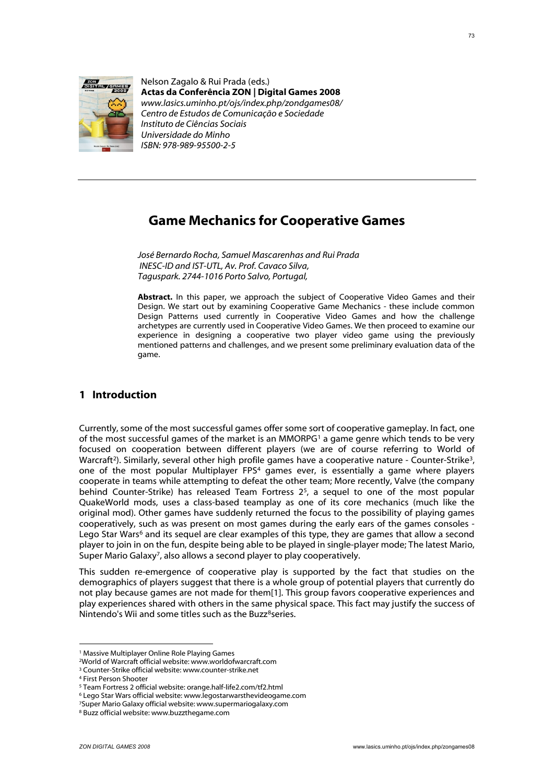

Nelson Zagalo & Rui Prada (eds.) **Actas da Conferência ZON | Digital Games 2008** *[www.lasics.uminho.pt/ojs/index.php/zondgames08/](http://www.lasics.uminho.pt/ojs/index.php/zondgames08/) Centro de Estudos de Comunicação e Sociedade Instituto de Ciências Sociais Universidade do Minho ISBN: 978-989-95500-2-5*

# **Game Mechanics for Cooperative Games**

*José Bernardo Rocha, Samuel Mascarenhas and Rui Prada INESC-ID and IST-UTL, Av. Prof. Cavaco Silva, Taguspark. 2744-1016 Porto Salvo, Portugal,*

**Abstract.** In this paper, we approach the subject of Cooperative Video Games and their Design. We start out by examining Cooperative Game Mechanics - these include common Design Patterns used currently in Cooperative Video Games and how the challenge archetypes are currently used in Cooperative Video Games. We then proceed to examine our experience in designing a cooperative two player video game using the previously mentioned patterns and challenges, and we present some preliminary evaluation data of the game.

## **1 Introduction**

Currently, some of the most successful games offer some sort of cooperative gameplay. In fact, one of the most successful games of the market is an MMORPG1 a game genre which tends to be very focused on cooperation between different players (we are of course referring to World of Warcraft<sup>2</sup>). Similarly, several other high profile games have a cooperative nature - Counter-Strike<sup>3</sup>, one of the most popular Multiplayer FPS4 games ever, is essentially a game where players cooperate in teams while attempting to defeat the other team; More recently, Valve (the company behind Counter-Strike) has released Team Fortress  $2<sup>5</sup>$ , a sequel to one of the most popular QuakeWorld mods, uses a class-based teamplay as one of its core mechanics (much like the original mod). Other games have suddenly returned the focus to the possibility of playing games cooperatively, such as was present on most games during the early ears of the games consoles - Lego Star Wars<sup>6</sup> and its sequel are clear examples of this type, they are games that allow a second player to join in on the fun, despite being able to be played in single-player mode; The latest Mario, Super Mario Galaxy7, also allows a second player to play cooperatively.

This sudden re-emergence of cooperative play is supported by the fact that studies on the demographics of players suggest that there is a whole group of potential players that currently do not play because games are not made for them[1]. This group favors cooperative experiences and play experiences shared with others in the same physical space. This fact may justify the success of Nintendo's Wii and some titles such as the Buzz<sup>8</sup>series.

1

<sup>1</sup> Massive Multiplayer Online Role Playing Games

<sup>2</sup>World of Warcraft official website: www.worldofwarcraft.com

<sup>3</sup> Counter-Strike official website: www.counter-strike.net

<sup>4</sup> First Person Shooter

<sup>5</sup> Team Fortress 2 official website: orange.half-life2.com/tf2.html

<sup>6</sup> Lego Star Wars official website: www.legostarwarsthevideogame.com

<sup>7</sup>Super Mario Galaxy official website: www.supermariogalaxy.com

<sup>8</sup> Buzz official website: www.buzzthegame.com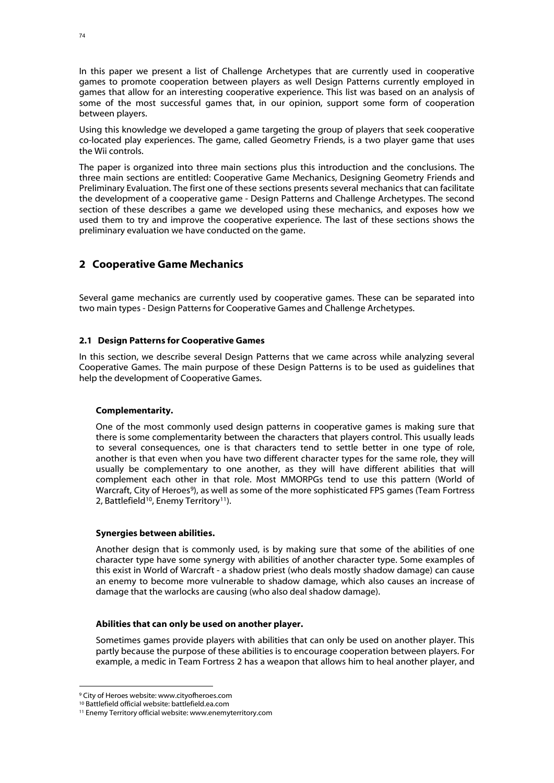In this paper we present a list of Challenge Archetypes that are currently used in cooperative games to promote cooperation between players as well Design Patterns currently employed in games that allow for an interesting cooperative experience. This list was based on an analysis of some of the most successful games that, in our opinion, support some form of cooperation between players.

Using this knowledge we developed a game targeting the group of players that seek cooperative co-located play experiences. The game, called Geometry Friends, is a two player game that uses the Wii controls.

The paper is organized into three main sections plus this introduction and the conclusions. The three main sections are entitled: Cooperative Game Mechanics, Designing Geometry Friends and Preliminary Evaluation. The first one of these sections presents several mechanics that can facilitate the development of a cooperative game - Design Patterns and Challenge Archetypes. The second section of these describes a game we developed using these mechanics, and exposes how we used them to try and improve the cooperative experience. The last of these sections shows the preliminary evaluation we have conducted on the game.

## **2 Cooperative Game Mechanics**

Several game mechanics are currently used by cooperative games. These can be separated into two main types - Design Patterns for Cooperative Games and Challenge Archetypes.

### **2.1 Design Patterns for Cooperative Games**

In this section, we describe several Design Patterns that we came across while analyzing several Cooperative Games. The main purpose of these Design Patterns is to be used as guidelines that help the development of Cooperative Games.

### **Complementarity.**

One of the most commonly used design patterns in cooperative games is making sure that there is some complementarity between the characters that players control. This usually leads to several consequences, one is that characters tend to settle better in one type of role, another is that even when you have two different character types for the same role, they will usually be complementary to one another, as they will have different abilities that will complement each other in that role. Most MMORPGs tend to use this pattern (World of Warcraft, City of Heroes<sup>9</sup>), as well as some of the more sophisticated FPS games (Team Fortress 2, Battlefield<sup>10</sup>, Enemy Territory<sup>11</sup>).

### **Synergies between abilities.**

Another design that is commonly used, is by making sure that some of the abilities of one character type have some synergy with abilities of another character type. Some examples of this exist in World of Warcraft - a shadow priest (who deals mostly shadow damage) can cause an enemy to become more vulnerable to shadow damage, which also causes an increase of damage that the warlocks are causing (who also deal shadow damage).

#### **Abilities that can only be used on another player.**

Sometimes games provide players with abilities that can only be used on another player. This partly because the purpose of these abilities is to encourage cooperation between players. For example, a medic in Team Fortress 2 has a weapon that allows him to heal another player, and

<u>.</u>

<sup>9</sup> City of Heroes website: www.cityofheroes.com

<sup>10</sup> Battlefield official website: battlefield.ea.com

<sup>11</sup> Enemy Territory official website: www.enemyterritory.com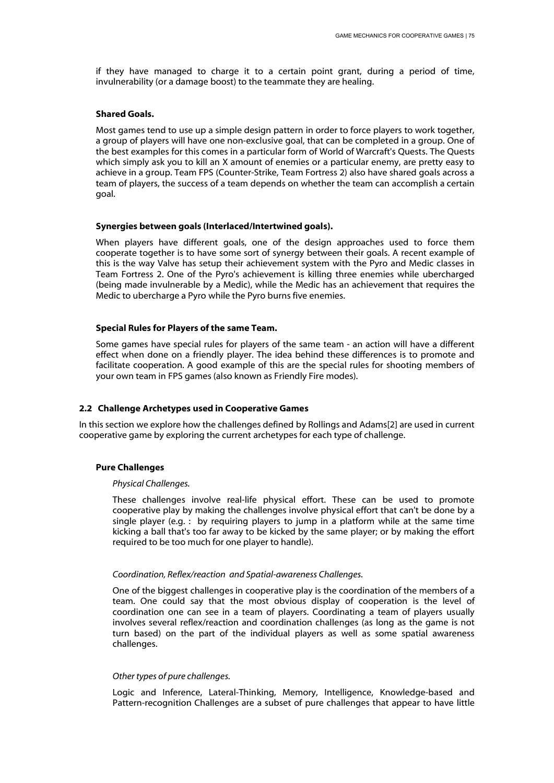if they have managed to charge it to a certain point grant, during a period of time, invulnerability (or a damage boost) to the teammate they are healing.

#### **Shared Goals.**

Most games tend to use up a simple design pattern in order to force players to work together, a group of players will have one non-exclusive goal, that can be completed in a group. One of the best examples for this comes in a particular form of World of Warcraft's Quests. The Quests which simply ask you to kill an X amount of enemies or a particular enemy, are pretty easy to achieve in a group. Team FPS (Counter-Strike, Team Fortress 2) also have shared goals across a team of players, the success of a team depends on whether the team can accomplish a certain goal.

#### **Synergies between goals (Interlaced/Intertwined goals).**

When players have different goals, one of the design approaches used to force them cooperate together is to have some sort of synergy between their goals. A recent example of this is the way Valve has setup their achievement system with the Pyro and Medic classes in Team Fortress 2. One of the Pyro's achievement is killing three enemies while ubercharged (being made invulnerable by a Medic), while the Medic has an achievement that requires the Medic to ubercharge a Pyro while the Pyro burns five enemies.

#### **Special Rules for Players of the same Team.**

Some games have special rules for players of the same team - an action will have a different effect when done on a friendly player. The idea behind these differences is to promote and facilitate cooperation. A good example of this are the special rules for shooting members of your own team in FPS games (also known as Friendly Fire modes).

### **2.2 Challenge Archetypes used in Cooperative Games**

In this section we explore how the challenges defined by Rollings and Adams[2] are used in current cooperative game by exploring the current archetypes for each type of challenge.

### **Pure Challenges**

#### *Physical Challenges.*

These challenges involve real-life physical effort. These can be used to promote cooperative play by making the challenges involve physical effort that can't be done by a single player (e.g. : by requiring players to jump in a platform while at the same time kicking a ball that's too far away to be kicked by the same player; or by making the effort required to be too much for one player to handle).

### *Coordination, Reflex/reaction and Spatial-awareness Challenges.*

One of the biggest challenges in cooperative play is the coordination of the members of a team. One could say that the most obvious display of cooperation is the level of coordination one can see in a team of players. Coordinating a team of players usually involves several reflex/reaction and coordination challenges (as long as the game is not turn based) on the part of the individual players as well as some spatial awareness challenges.

#### *Other types of pure challenges.*

Logic and Inference, Lateral-Thinking, Memory, Intelligence, Knowledge-based and Pattern-recognition Challenges are a subset of pure challenges that appear to have little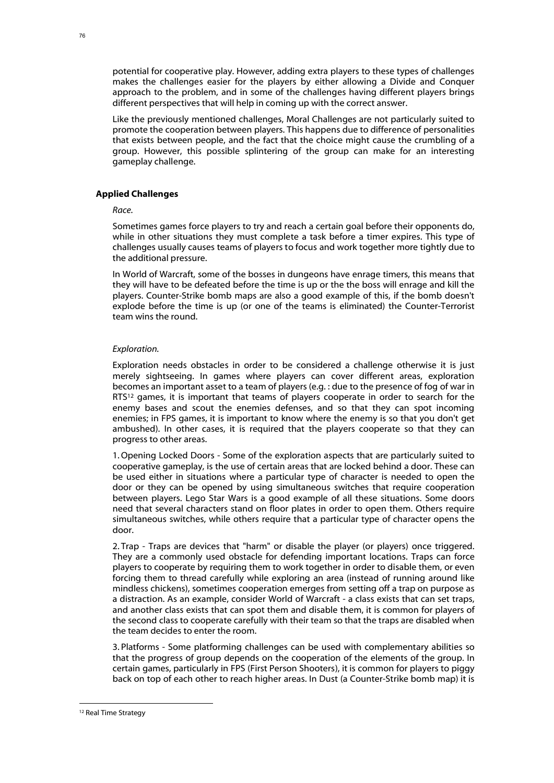potential for cooperative play. However, adding extra players to these types of challenges makes the challenges easier for the players by either allowing a Divide and Conquer approach to the problem, and in some of the challenges having different players brings different perspectives that will help in coming up with the correct answer.

Like the previously mentioned challenges, Moral Challenges are not particularly suited to promote the cooperation between players. This happens due to difference of personalities that exists between people, and the fact that the choice might cause the crumbling of a group. However, this possible splintering of the group can make for an interesting gameplay challenge.

### **Applied Challenges**

#### *Race.*

Sometimes games force players to try and reach a certain goal before their opponents do, while in other situations they must complete a task before a timer expires. This type of challenges usually causes teams of players to focus and work together more tightly due to the additional pressure.

In World of Warcraft, some of the bosses in dungeons have enrage timers, this means that they will have to be defeated before the time is up or the the boss will enrage and kill the players. Counter-Strike bomb maps are also a good example of this, if the bomb doesn't explode before the time is up (or one of the teams is eliminated) the Counter-Terrorist team wins the round.

#### *Exploration.*

Exploration needs obstacles in order to be considered a challenge otherwise it is just merely sightseeing. In games where players can cover different areas, exploration becomes an important asset to a team of players (e.g. : due to the presence of fog of war in RTS<sup>12</sup> games, it is important that teams of players cooperate in order to search for the enemy bases and scout the enemies defenses, and so that they can spot incoming enemies; in FPS games, it is important to know where the enemy is so that you don't get ambushed). In other cases, it is required that the players cooperate so that they can progress to other areas.

1. Opening Locked Doors - Some of the exploration aspects that are particularly suited to cooperative gameplay, is the use of certain areas that are locked behind a door. These can be used either in situations where a particular type of character is needed to open the door or they can be opened by using simultaneous switches that require cooperation between players. Lego Star Wars is a good example of all these situations. Some doors need that several characters stand on floor plates in order to open them. Others require simultaneous switches, while others require that a particular type of character opens the door.

2. Trap - Traps are devices that "harm" or disable the player (or players) once triggered. They are a commonly used obstacle for defending important locations. Traps can force players to cooperate by requiring them to work together in order to disable them, or even forcing them to thread carefully while exploring an area (instead of running around like mindless chickens), sometimes cooperation emerges from setting off a trap on purpose as a distraction. As an example, consider World of Warcraft - a class exists that can set traps, and another class exists that can spot them and disable them, it is common for players of the second class to cooperate carefully with their team so that the traps are disabled when the team decides to enter the room.

3. Platforms - Some platforming challenges can be used with complementary abilities so that the progress of group depends on the cooperation of the elements of the group. In certain games, particularly in FPS (First Person Shooters), it is common for players to piggy back on top of each other to reach higher areas. In Dust (a Counter-Strike bomb map) it is

1

<sup>12</sup> Real Time Strategy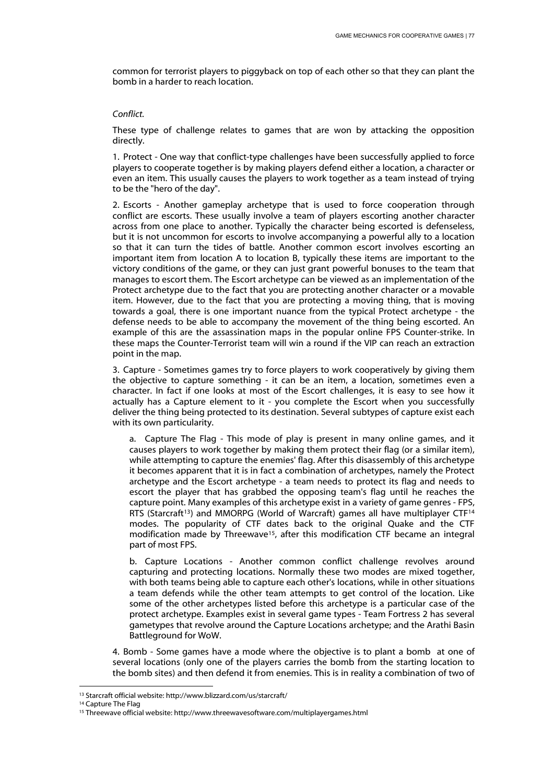common for terrorist players to piggyback on top of each other so that they can plant the bomb in a harder to reach location.

#### *Conflict.*

These type of challenge relates to games that are won by attacking the opposition directly.

1. Protect - One way that conflict-type challenges have been successfully applied to force players to cooperate together is by making players defend either a location, a character or even an item. This usually causes the players to work together as a team instead of trying to be the "hero of the day".

2. Escorts - Another gameplay archetype that is used to force cooperation through conflict are escorts. These usually involve a team of players escorting another character across from one place to another. Typically the character being escorted is defenseless, but it is not uncommon for escorts to involve accompanying a powerful ally to a location so that it can turn the tides of battle. Another common escort involves escorting an important item from location A to location B, typically these items are important to the victory conditions of the game, or they can just grant powerful bonuses to the team that manages to escort them. The Escort archetype can be viewed as an implementation of the Protect archetype due to the fact that you are protecting another character or a movable item. However, due to the fact that you are protecting a moving thing, that is moving towards a goal, there is one important nuance from the typical Protect archetype - the defense needs to be able to accompany the movement of the thing being escorted. An example of this are the assassination maps in the popular online FPS Counter-strike. In these maps the Counter-Terrorist team will win a round if the VIP can reach an extraction point in the map.

3. Capture - Sometimes games try to force players to work cooperatively by giving them the objective to capture something - it can be an item, a location, sometimes even a character. In fact if one looks at most of the Escort challenges, it is easy to see how it actually has a Capture element to it - you complete the Escort when you successfully deliver the thing being protected to its destination. Several subtypes of capture exist each with its own particularity.

a. Capture The Flag - This mode of play is present in many online games, and it causes players to work together by making them protect their flag (or a similar item), while attempting to capture the enemies' flag. After this disassembly of this archetype it becomes apparent that it is in fact a combination of archetypes, namely the Protect archetype and the Escort archetype - a team needs to protect its flag and needs to escort the player that has grabbed the opposing team's flag until he reaches the capture point. Many examples of this archetype exist in a variety of game genres - FPS, RTS (Starcraft<sup>13</sup>) and MMORPG (World of Warcraft) games all have multiplayer CTF<sup>14</sup> modes. The popularity of CTF dates back to the original Quake and the CTF modification made by Threewave15, after this modification CTF became an integral part of most FPS.

b. Capture Locations - Another common conflict challenge revolves around capturing and protecting locations. Normally these two modes are mixed together, with both teams being able to capture each other's locations, while in other situations a team defends while the other team attempts to get control of the location. Like some of the other archetypes listed before this archetype is a particular case of the protect archetype. Examples exist in several game types - Team Fortress 2 has several gametypes that revolve around the Capture Locations archetype; and the Arathi Basin Battleground for WoW.

4. Bomb - Some games have a mode where the objective is to plant a bomb at one of several locations (only one of the players carries the bomb from the starting location to the bomb sites) and then defend it from enemies. This is in reality a combination of two of

<u>.</u>

<sup>13</sup> Starcraft official website: http://www.blizzard.com/us/starcraft/

<sup>14</sup> Capture The Flag

<sup>15</sup> Threewave official website: http://www.threewavesoftware.com/multiplayergames.html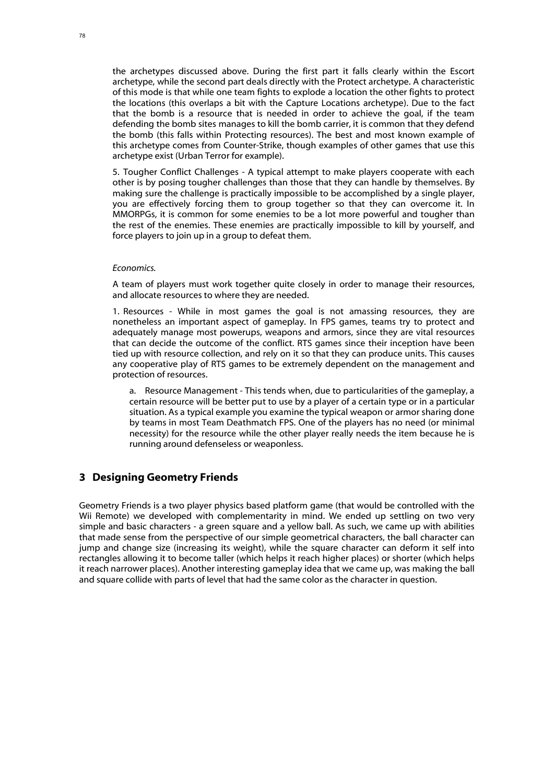the archetypes discussed above. During the first part it falls clearly within the Escort archetype, while the second part deals directly with the Protect archetype. A characteristic of this mode is that while one team fights to explode a location the other fights to protect the locations (this overlaps a bit with the Capture Locations archetype). Due to the fact that the bomb is a resource that is needed in order to achieve the goal, if the team defending the bomb sites manages to kill the bomb carrier, it is common that they defend the bomb (this falls within Protecting resources). The best and most known example of this archetype comes from Counter-Strike, though examples of other games that use this archetype exist (Urban Terror for example).

5. Tougher Conflict Challenges - A typical attempt to make players cooperate with each other is by posing tougher challenges than those that they can handle by themselves. By making sure the challenge is practically impossible to be accomplished by a single player, you are effectively forcing them to group together so that they can overcome it. In MMORPGs, it is common for some enemies to be a lot more powerful and tougher than the rest of the enemies. These enemies are practically impossible to kill by yourself, and force players to join up in a group to defeat them.

#### *Economics.*

A team of players must work together quite closely in order to manage their resources, and allocate resources to where they are needed.

1. Resources - While in most games the goal is not amassing resources, they are nonetheless an important aspect of gameplay. In FPS games, teams try to protect and adequately manage most powerups, weapons and armors, since they are vital resources that can decide the outcome of the conflict. RTS games since their inception have been tied up with resource collection, and rely on it so that they can produce units. This causes any cooperative play of RTS games to be extremely dependent on the management and protection of resources.

a. Resource Management - This tends when, due to particularities of the gameplay, a certain resource will be better put to use by a player of a certain type or in a particular situation. As a typical example you examine the typical weapon or armor sharing done by teams in most Team Deathmatch FPS. One of the players has no need (or minimal necessity) for the resource while the other player really needs the item because he is running around defenseless or weaponless.

## **3 Designing Geometry Friends**

Geometry Friends is a two player physics based platform game (that would be controlled with the Wii Remote) we developed with complementarity in mind. We ended up settling on two very simple and basic characters - a green square and a yellow ball. As such, we came up with abilities that made sense from the perspective of our simple geometrical characters, the ball character can jump and change size (increasing its weight), while the square character can deform it self into rectangles allowing it to become taller (which helps it reach higher places) or shorter (which helps it reach narrower places). Another interesting gameplay idea that we came up, was making the ball and square collide with parts of level that had the same color as the character in question.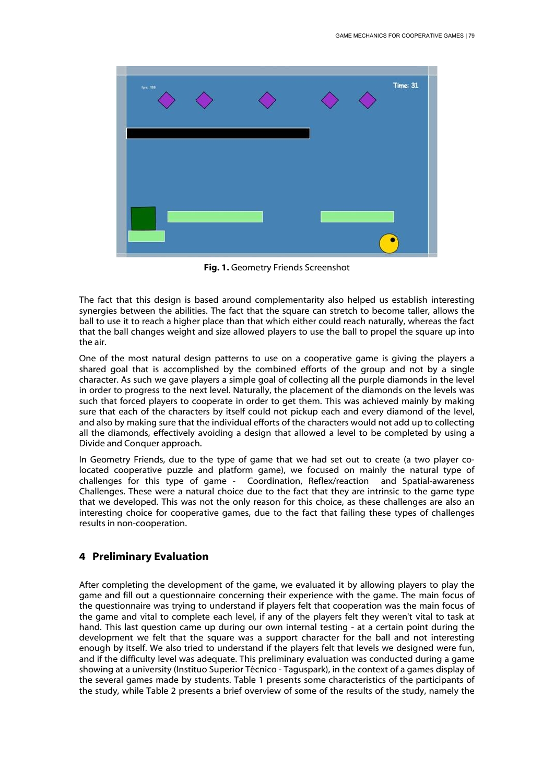

**Fig. 1.** Geometry Friends Screenshot

The fact that this design is based around complementarity also helped us establish interesting synergies between the abilities. The fact that the square can stretch to become taller, allows the ball to use it to reach a higher place than that which either could reach naturally, whereas the fact that the ball changes weight and size allowed players to use the ball to propel the square up into the air.

One of the most natural design patterns to use on a cooperative game is giving the players a shared goal that is accomplished by the combined efforts of the group and not by a single character. As such we gave players a simple goal of collecting all the purple diamonds in the level in order to progress to the next level. Naturally, the placement of the diamonds on the levels was such that forced players to cooperate in order to get them. This was achieved mainly by making sure that each of the characters by itself could not pickup each and every diamond of the level, and also by making sure that the individual efforts of the characters would not add up to collecting all the diamonds, effectively avoiding a design that allowed a level to be completed by using a Divide and Conquer approach.

In Geometry Friends, due to the type of game that we had set out to create (a two player colocated cooperative puzzle and platform game), we focused on mainly the natural type of challenges for this type of game - Coordination, Reflex/reaction and Spatial-awareness Challenges. These were a natural choice due to the fact that they are intrinsic to the game type that we developed. This was not the only reason for this choice, as these challenges are also an interesting choice for cooperative games, due to the fact that failing these types of challenges results in non-cooperation.

## **4 Preliminary Evaluation**

After completing the development of the game, we evaluated it by allowing players to play the game and fill out a questionnaire concerning their experience with the game. The main focus of the questionnaire was trying to understand if players felt that cooperation was the main focus of the game and vital to complete each level, if any of the players felt they weren't vital to task at hand. This last question came up during our own internal testing - at a certain point during the development we felt that the square was a support character for the ball and not interesting enough by itself. We also tried to understand if the players felt that levels we designed were fun, and if the difficulty level was adequate. This preliminary evaluation was conducted during a game showing at a university (Instituo Superior Técnico - Taguspark), in the context of a games display of the several games made by students. Table 1 presents some characteristics of the participants of the study, while Table 2 presents a brief overview of some of the results of the study, namely the